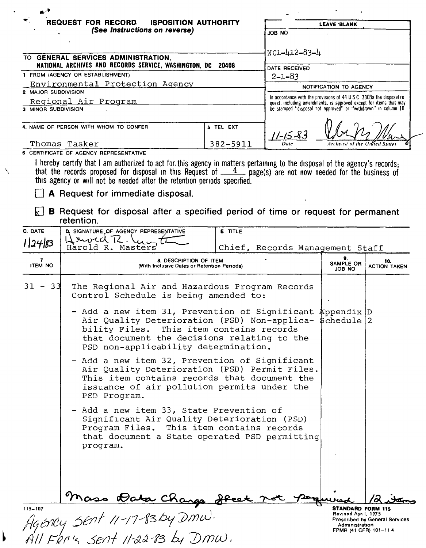| $\blacktriangledown$<br><b>REQUEST FOR RECORD.</b><br><b>ISPOSITION AUTHORITY</b><br>(See Instructions on reverse)        |           | <b>LEAVE BLANK</b>                                                                                                                                   |  |  |
|---------------------------------------------------------------------------------------------------------------------------|-----------|------------------------------------------------------------------------------------------------------------------------------------------------------|--|--|
|                                                                                                                           |           | ON BOL                                                                                                                                               |  |  |
| <b>GENERAL SERVICES ADMINISTRATION.</b><br>TO .                                                                           |           | NC1-412-83-4                                                                                                                                         |  |  |
| NATIONAL ARCHIVES AND RECORDS SERVICE, WASHINGTON, DC 20408                                                               |           | DATE RECEIVED                                                                                                                                        |  |  |
| 1 FROM (AGENCY OR ESTABLISHMENT)                                                                                          |           | $2 - 1 - 83$                                                                                                                                         |  |  |
| Environmental Protection Agency                                                                                           |           | NOTIFICATION TO AGENCY                                                                                                                               |  |  |
| 2 MAJOR SUBDIVISION                                                                                                       |           |                                                                                                                                                      |  |  |
| Regional Air Program                                                                                                      |           | In accordance with the provisions of $44 \text{ U}$ S C 3303a the disposal re-<br>quest, including amendments, is approved except for items that may |  |  |
| 3 MINOR SUBDIVISION                                                                                                       |           | be stamped "disposal not approved" or "withdrawn" in column 10                                                                                       |  |  |
| 4. NAME OF PERSON WITH WHOM TO CONFER                                                                                     | 5 TEL EXT |                                                                                                                                                      |  |  |
| Thomas Tasker                                                                                                             | 382-5911  | $11 - 15 - 83$<br>Archivist of the United States<br>Date                                                                                             |  |  |
| 6 CERTIFICATE OF AGENCY REPRESENTATIVE                                                                                    |           |                                                                                                                                                      |  |  |
| hereby certify that I am authorized to act for this agency in matters nertaining to the disposal of the agency's records. |           |                                                                                                                                                      |  |  |

I hereby certify that I am authorized to act for this agency in matters pertaining to the disposal of the agency's records;<br>that the records proposed for disposal in this Request of  $\frac{4}{\sqrt{1-\frac{4}{n}}}$  page(s) are not now

A Request for immediate disposal.

 $\boxed{\times}$  **B** Request for disposal after a specified period of time or request for permanent retention.

| D. SIGNATURE OF AGENCY REPRESENTATIVE                                                   |                        |                                                                                                                                                                                                                                                                                                                                                                                                                                                                                                                                                                                                                                                                                                                                   |                                                                                                                                                                                                                                                         |
|-----------------------------------------------------------------------------------------|------------------------|-----------------------------------------------------------------------------------------------------------------------------------------------------------------------------------------------------------------------------------------------------------------------------------------------------------------------------------------------------------------------------------------------------------------------------------------------------------------------------------------------------------------------------------------------------------------------------------------------------------------------------------------------------------------------------------------------------------------------------------|---------------------------------------------------------------------------------------------------------------------------------------------------------------------------------------------------------------------------------------------------------|
| Harold R. Masters                                                                       |                        |                                                                                                                                                                                                                                                                                                                                                                                                                                                                                                                                                                                                                                                                                                                                   |                                                                                                                                                                                                                                                         |
| 8. DESCRIPTION OF ITEM<br><b>ITEM NO</b><br>(With Inclusive Dates or Retention Periods) |                        | 9.<br><b>SAMPLE OR</b><br>JOB NO                                                                                                                                                                                                                                                                                                                                                                                                                                                                                                                                                                                                                                                                                                  | 10.<br><b>ACTION TAKEN</b>                                                                                                                                                                                                                              |
|                                                                                         |                        |                                                                                                                                                                                                                                                                                                                                                                                                                                                                                                                                                                                                                                                                                                                                   |                                                                                                                                                                                                                                                         |
|                                                                                         |                        |                                                                                                                                                                                                                                                                                                                                                                                                                                                                                                                                                                                                                                                                                                                                   |                                                                                                                                                                                                                                                         |
| PSD Program.                                                                            |                        |                                                                                                                                                                                                                                                                                                                                                                                                                                                                                                                                                                                                                                                                                                                                   |                                                                                                                                                                                                                                                         |
| program.                                                                                |                        |                                                                                                                                                                                                                                                                                                                                                                                                                                                                                                                                                                                                                                                                                                                                   |                                                                                                                                                                                                                                                         |
|                                                                                         |                        |                                                                                                                                                                                                                                                                                                                                                                                                                                                                                                                                                                                                                                                                                                                                   | Prescribed by General Services                                                                                                                                                                                                                          |
|                                                                                         | Hrwcd R. Ungte<br>- 33 | <b>E</b> TITLE<br>The Regional Air and Hazardous Program Records<br>Control Schedule is being amended to:<br>bility Files. This item contains records<br>that document the decisions relating to the<br>PSD non-applicability determination.<br>- Add a new item 32, Prevention of Significant<br>Air Quality Deterioration (PSD) Permit Files.<br>This item contains records that document the<br>issuance of air pollution permits under the<br>- Add a new item 33, State Prevention of<br>Significant Air Quality Deterioration (PSD)<br>Program Files. This item contains records<br>that document a State operated PSD permitting<br>$\frac{9n}{115-107}$<br>Agéncy SENt 11-17-83by DMW.<br>All FRN's SENt 11-22-83 by DMW. | Chief, Records Management Staff<br>- Add a new item 31, Prevention of Significant Appendix D<br>Air Quality Deterioration (PSD) Non-applica- \$chedule 2<br><b>STANDARD FORM 115</b><br>Revised April, 1975<br>Administration<br>FPMR (41 CFR) 101-11 4 |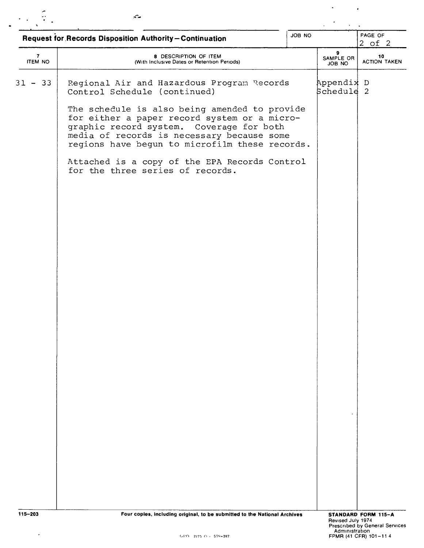| JOB NO<br><b>Request for Records Disposition Authority-Continuation</b> |                                                                                                                                                                                                                                           |  |                          | PAGE OF<br>$2$ of $2$     |  |
|-------------------------------------------------------------------------|-------------------------------------------------------------------------------------------------------------------------------------------------------------------------------------------------------------------------------------------|--|--------------------------|---------------------------|--|
| $\mathbf{7}$<br><b>ITEM NO</b>                                          | 8 DESCRIPTION OF ITEM<br>(With Inclusive Dates or Retention Periods)                                                                                                                                                                      |  | 9<br>SAMPLE OR<br>JOB NO | 10<br><b>ACTION TAKEN</b> |  |
| $31 - 33$                                                               | Regional Air and Hazardous Program Records<br>Control Schedule (continued)                                                                                                                                                                |  | Appendix D<br>Schedule 2 |                           |  |
|                                                                         | The schedule is also being amended to provide<br>for either a paper record system or a micro-<br>graphic record system. Coverage for both<br>media of records is necessary because some<br>regions have begun to microfilm these records. |  |                          |                           |  |
|                                                                         | Attached is a copy of the EPA Records Control<br>for the three series of records.                                                                                                                                                         |  |                          |                           |  |
|                                                                         |                                                                                                                                                                                                                                           |  |                          |                           |  |
|                                                                         |                                                                                                                                                                                                                                           |  |                          |                           |  |
|                                                                         |                                                                                                                                                                                                                                           |  |                          |                           |  |
|                                                                         |                                                                                                                                                                                                                                           |  |                          |                           |  |
|                                                                         |                                                                                                                                                                                                                                           |  |                          |                           |  |
|                                                                         |                                                                                                                                                                                                                                           |  |                          |                           |  |
|                                                                         |                                                                                                                                                                                                                                           |  |                          |                           |  |
|                                                                         |                                                                                                                                                                                                                                           |  |                          |                           |  |
|                                                                         |                                                                                                                                                                                                                                           |  |                          |                           |  |
|                                                                         |                                                                                                                                                                                                                                           |  |                          |                           |  |
|                                                                         |                                                                                                                                                                                                                                           |  |                          |                           |  |

 $\mathcal{O}(\mathcal{O}(\log n))$ 

 $\omega$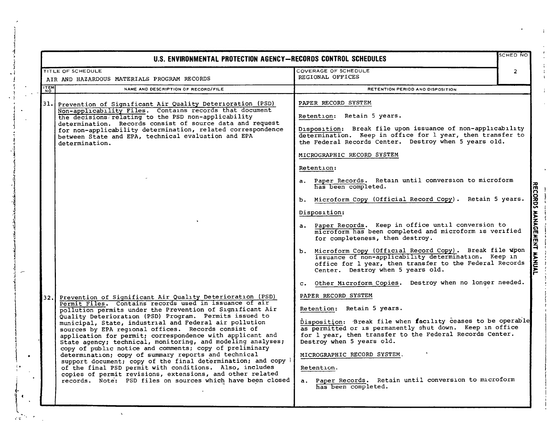| <b>SCHED NO</b><br>U.S. ENVIRONMENTAL PROTECTION AGENCY-RECORDS CONTROL SCHEDULES |                                                                                                                                                                                                                                                                                                                                                                                                                                                                                                                                                                                                                                                                                                                                                                                                                                                                   |                                                                                                                                                                                                                                                                                                                                                                                                                                                                                                                                         |                |
|-----------------------------------------------------------------------------------|-------------------------------------------------------------------------------------------------------------------------------------------------------------------------------------------------------------------------------------------------------------------------------------------------------------------------------------------------------------------------------------------------------------------------------------------------------------------------------------------------------------------------------------------------------------------------------------------------------------------------------------------------------------------------------------------------------------------------------------------------------------------------------------------------------------------------------------------------------------------|-----------------------------------------------------------------------------------------------------------------------------------------------------------------------------------------------------------------------------------------------------------------------------------------------------------------------------------------------------------------------------------------------------------------------------------------------------------------------------------------------------------------------------------------|----------------|
|                                                                                   | TITLE OF SCHEDULE<br>AIR AND HAZARDOUS MATERIALS PROGRAM RECORDS                                                                                                                                                                                                                                                                                                                                                                                                                                                                                                                                                                                                                                                                                                                                                                                                  | COVERAGE OF SCHEDULE<br>REGIONAL OFFICES                                                                                                                                                                                                                                                                                                                                                                                                                                                                                                | $\overline{2}$ |
| <b>ITEM</b>                                                                       | NAME AND DESCRIPTION OF RECORD/FILE                                                                                                                                                                                                                                                                                                                                                                                                                                                                                                                                                                                                                                                                                                                                                                                                                               | RETENTION PERIOD ANO DISPOSITION                                                                                                                                                                                                                                                                                                                                                                                                                                                                                                        |                |
| 31.I                                                                              | Prevention of Significant Air Quality Deterioration (PSD)<br>Non-applicability Files. Contains records that document<br>the decisions relating to the PSD non-applicability<br>determination. Records consist of source data and request<br>for non-applicability determination, related correspondence<br>between State and EPA, technical evaluation and EPA<br>determination.                                                                                                                                                                                                                                                                                                                                                                                                                                                                                  | PAPER RECORD SYSTEM<br>Retention: Retain 5 years.<br>Disposition: Break file upon issuance of non-applicability<br>determination. Keep in office for 1 year, then transfer to<br>the Federal Records Center. Destroy when 5 years old.<br>MICROGRAPHIC RECORD SYSTEM<br>Retention:<br>a. Paper Records. Retain until conversion to microform                                                                                                                                                                                            |                |
|                                                                                   |                                                                                                                                                                                                                                                                                                                                                                                                                                                                                                                                                                                                                                                                                                                                                                                                                                                                   | has been completed.<br>b. Microform Copy (Official Record Copy). Retain 5 years.<br>Disposition:<br>a. Paper Records. Keep in office until conversion to<br>microform has been completed and microform is verified<br>for completeness, then destroy.<br>b. Microform Copy (Official Record Copy). Break file wpon<br>issuance of non-applicability determination. Keep in<br>office for 1 year, then transfer to the Federal Records<br>Center. Destroy when 5 years old.<br>c. Other Microform Copies. Destroy when no longer needed. |                |
| 32.1                                                                              | Prevention of Significant Air Quality Deterioration (PSD)<br>Permit Files. Contains records used in issuance of air<br>pollution permits under the Prevention of Significant Air<br>Quality Deterioration (PSD) Program. Permits issued to<br>municipal, State, industrial and Federal air pollution<br>sources by EPA reqional offices. Records consist of<br>application for permit; correspondence with applicant and<br>State agency; technical, monitoring, and modeling analyses;<br>copy of public notice and comments; copy of preliminary<br>determination; copy of summary reports and technical<br>support document; copy of the final determination; and copy }<br>of the final PSD permit with conditions. Also, includes<br>copies of permit revisions, extensions, and other related<br>records. Note: PSD files on sources which have been closed | PAPER RECORD SYSTEM<br>Retention: Retain 5 years.<br>Disposition: Break file when facility ceases to be operable<br>as permitted or is permanently shut down. Keep in office<br>for 1 year, then transfer to the Federal Records Center.<br>Destroy when 5 years old.<br>MICROGRAPHIC RECORD SYSTEM.<br>Retention.<br>a. Paper Records. Retain until conversion to microform<br>has been completed.                                                                                                                                     |                |

1 1